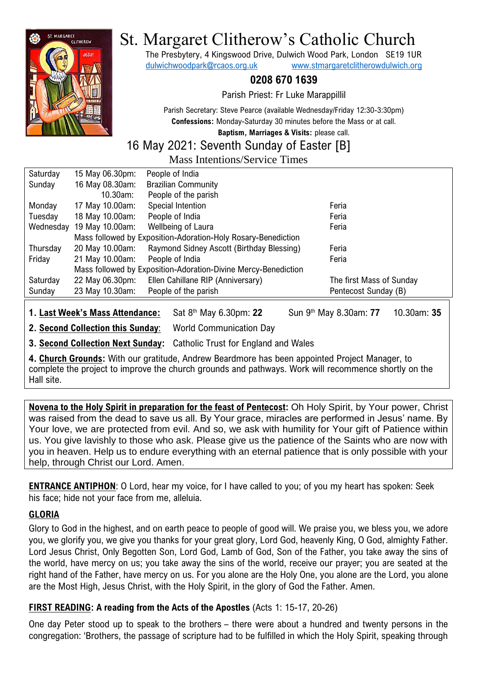

# St. Margaret Clitherow's Catholic Church

The Presbytery, 4 Kingswood Drive, Dulwich Wood Park, London SE19 1UR [dulwichwoodpark@rcaos.org.uk](mailto:dulwichwoodpark@rcaos.org.uk) [www.stmargaretclitherowdulwich.org](http://www.stmargaretclitherowdulwich.org/)

# **0208 670 1639**

Parish Priest: Fr Luke Marappillil

Parish Secretary: Steve Pearce (available Wednesday/Friday 12:30-3:30pm) **Confessions:** Monday-Saturday 30 minutes before the Mass or at call. **Baptism, Marriages & Visits:** please call.

16 May 2021: Seventh Sunday of Easter [B]

Mass Intentions/Service Times

| Saturday  | 15 May 06.30pm:                                                | People of India                           |                          |
|-----------|----------------------------------------------------------------|-------------------------------------------|--------------------------|
| Sunday    | 16 May 08.30am:                                                | <b>Brazilian Community</b>                |                          |
|           | 10.30am:                                                       | People of the parish                      |                          |
| Monday    | 17 May 10.00am:                                                | Special Intention                         | Feria                    |
| Tuesday   | 18 May 10.00am:                                                | People of India                           | Feria                    |
| Wednesday | 19 May 10.00am:                                                | Wellbeing of Laura                        | Feria                    |
|           | Mass followed by Exposition-Adoration-Holy Rosary-Benediction  |                                           |                          |
| Thursday  | 20 May 10.00am:                                                | Raymond Sidney Ascott (Birthday Blessing) | Feria                    |
| Friday    | 21 May 10.00am:                                                | People of India                           | Feria                    |
|           | Mass followed by Exposition-Adoration-Divine Mercy-Benediction |                                           |                          |
| Saturday  | 22 May 06.30pm:                                                | Ellen Cahillane RIP (Anniversary)         | The first Mass of Sunday |
| Sunday    | 23 May 10.30am:                                                | People of the parish                      | Pentecost Sunday (B)     |
|           |                                                                |                                           |                          |

**1. Last Week's Mass Attendance:** Sat 8<sup>th</sup> May 6.30pm: 22 th May 8.30am: **77** 10.30am: **35**

**2. Second Collection this Sunday**: World Communication Day

**3. Second Collection Next Sunday:** Catholic Trust for England and Wales

**4. Church Grounds:** With our gratitude, Andrew Beardmore has been appointed Project Manager, to complete the project to improve the church grounds and pathways. Work will recommence shortly on the Hall site.

**Novena to the Holy Spirit in preparation for the feast of Pentecost:** Oh Holy Spirit, by Your power, Christ was raised from the dead to save us all. By Your grace, miracles are performed in Jesus' name. By Your love, we are protected from evil. And so, we ask with humility for Your gift of Patience within us. You give lavishly to those who ask. Please give us the patience of the Saints who are now with you in heaven. Help us to endure everything with an eternal patience that is only possible with your help, through Christ our Lord. Amen.

**ENTRANCE ANTIPHON**: O Lord, hear my voice, for I have called to you; of you my heart has spoken: Seek his face; hide not your face from me, alleluia.

## **GLORIA**

Glory to God in the highest, and on earth peace to people of good will. We praise you, we bless you, we adore you, we glorify you, we give you thanks for your great glory, Lord God, heavenly King, O God, almighty Father. Lord Jesus Christ, Only Begotten Son, Lord God, Lamb of God, Son of the Father, you take away the sins of the world, have mercy on us; you take away the sins of the world, receive our prayer; you are seated at the right hand of the Father, have mercy on us. For you alone are the Holy One, you alone are the Lord, you alone are the Most High, Jesus Christ, with the Holy Spirit, in the glory of God the Father. Amen.

## **FIRST READING: A reading from the Acts of the Apostles** (Acts 1: 15-17, 20-26)

One day Peter stood up to speak to the brothers – there were about a hundred and twenty persons in the congregation: 'Brothers, the passage of scripture had to be fulfilled in which the Holy Spirit, speaking through